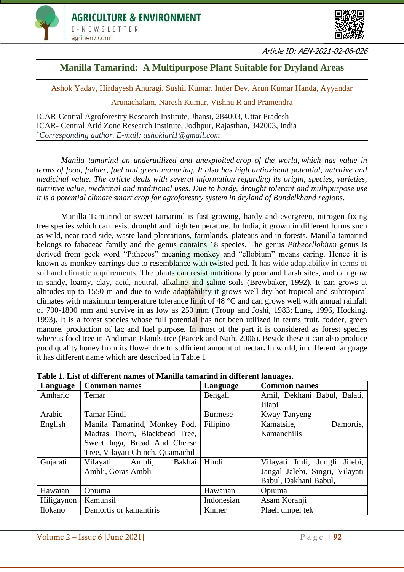



Article ID: AEN-2021-02-06-026

# **Manilla Tamarind: A Multipurpose Plant Suitable for Dryland Areas**

Ashok Yadav, Hirdayesh Anuragi, Sushil Kumar, Inder Dev, Arun Kumar Handa, Ayyandar

Arunachalam, Naresh Kumar, Vishnu R and Pramendra

ICAR-Central Agroforestry Research Institute, Jhansi, 284003, Uttar Pradesh ICAR- Central Arid Zone Research Institute, Jodhpur, Rajasthan, 342003, India *\*Corresponding author. E-mail: ashokiari1@gmail.com*

*Manila tamarind an underutilized and unexploited crop of the world, which has value in terms of food, fodder, fuel and green manuring. It also has high antioxidant potential, nutritive and medicinal value. The article deals with several information regarding its origin, species, varieties, nutritive value, medicinal and traditional uses. Due to hardy, drought tolerant and multipurpose use it is a potential climate smart crop for agroforestry system in dryland of Bundelkhand regions*.

Manilla Tamarind or sweet tamarind is fast growing, hardy and evergreen, nitrogen fixing tree species which can resist drought and high temperature. In India, it grown in different forms such as wild, near road side, waste land plantations, farmlands, plateaus and in forests. Manilla tamarind belongs to fabaceae family and the genus contains 18 species. The genus *Pithecellobium* genus is derived from geek word "Pithecos" meaning monkey and "ellobium" means earing. Hence it is known as monkey earrings due to resemblance with twisted pod. It has wide adaptability in terms of soil and climatic requirements. The plants can resist nutritionally poor and harsh sites, and can grow in sandy, loamy, clay, acid, neutral, alkaline and saline soils [\(Brewbaker, 1992\)](https://www.cabi.org/isc/datasheet/41187#7B18E6E6-2AD3-4EA4-B10A-B4714C40FDBB). It can grows at altitudes up to 1550 m and due to wide adaptability it grows well dry hot tropical and subtropical climates with maximum temperature tolerance limit of 48 °C and can grows well with annual rainfall of 700-1800 mm and survive in as low as 250 mm [\(Troup and Joshi, 1983;](https://www.cabi.org/isc/datasheet/41187#4FAD6CA8-172B-4201-8A2A-801C6DE9CC9B) [Luna, 1996,](https://www.cabi.org/isc/datasheet/41187#D10909AC-20EC-410F-8037-6535289A1B49) Hocking, 1993). It is a forest species whose full potential has not been utilized in terms fruit, fodder, green manure, production of lac and fuel purpose. In most of the part it is considered as forest species whereas food tree in Andaman Islands tree (Pareek and Nath, 2006). Beside these it can also produce good quality honey from its flower due to sufficient amount of nectar**.** In world, in different language it has different name which are described in Table 1

| Language   | <b>Common names</b>              | Language       | <b>Common names</b>             |
|------------|----------------------------------|----------------|---------------------------------|
| Amharic    | Temar                            | Bengali        | Amil, Dekhani Babul, Balati,    |
|            |                                  |                | Jilapi                          |
| Arabic     | <b>Tamar Hindi</b>               | <b>Burmese</b> | Kway-Tanyeng                    |
| English    | Manila Tamarind, Monkey Pod,     | Filipino       | Kamatsile,<br>Damortis,         |
|            | Madras Thorn, Blackbead Tree,    |                | Kamanchilis                     |
|            | Sweet Inga, Bread And Cheese     |                |                                 |
|            | Tree, Vilayati Chinch, Quamachil |                |                                 |
| Gujarati   | Vilayati Ambli,<br>Bakhai        | Hindi          | Vilayati Imli, Jungli Jilebi,   |
|            | Ambli, Goras Ambli               |                | Jangal Jalebi, Singri, Vilayati |
|            |                                  |                | Babul, Dakhani Babul,           |
| Hawaian    | Opiuma                           | Hawaiian       | Opiuma                          |
| Hiligaynon | Kamunsil                         | Indonesian     | Asam Koranji                    |
| Ilokano    | Damortis or kamantiris           | Khmer          | Plaeh umpel tek                 |

| Table 1. List of different names of Manilla tamarind in different lanuages. |  |
|-----------------------------------------------------------------------------|--|
|-----------------------------------------------------------------------------|--|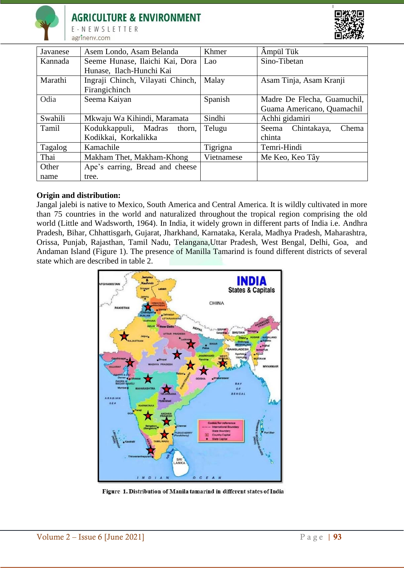

E-NEWSLETTER agrinenv.com



| Javanese | Asem Londo, Asam Belanda         | Khmer      | Ampül Tük                     |
|----------|----------------------------------|------------|-------------------------------|
| Kannada  | Seeme Hunase, Ilaichi Kai, Dora  | Lao        | Sino-Tibetan                  |
|          | Hunase, Ilach-Hunchi Kai         |            |                               |
| Marathi  | Ingraji Chinch, Vilayati Chinch, | Malay      | Asam Tinja, Asam Kranji       |
|          | Firangichinch                    |            |                               |
| Odia     | Seema Kaiyan                     | Spanish    | Madre De Flecha, Guamuchil,   |
|          |                                  |            | Guama Americano, Quamachil    |
| Swahili  | Mkwaju Wa Kihindi, Maramata      | Sindhi     | Achhi gidamiri                |
| Tamil    | Kodukkappuli, Madras<br>thorn,   | Telugu     | Chintakaya,<br>Chema<br>Seema |
|          | Kodikkai, Korkalikka             |            | chinta                        |
| Tagalog  | Kamachile                        | Tigrigna   | Temri-Hindi                   |
| Thai     | Makham Thet, Makham-Khong        | Vietnamese | Me Keo, Keo Tây               |
| Other    | Ape's earring, Bread and cheese  |            |                               |
| name     | tree.                            |            |                               |

## **Origin and distribution:**

Jangal jalebi is native to Mexico, South America and Central America. It is wildly cultivated in more than 75 countries in the world and naturalized throughout the tropical region comprising the old world (Little and Wadsworth, 1964). In India, it widely grown in different parts of India i.e. Andhra Pradesh, Bihar, Chhattisgarh, Gujarat, Jharkhand, Karnataka, Kerala, Madhya Pradesh, Maharashtra, Orissa, Punjab, Rajasthan, Tamil Nadu, Telangana,Uttar Pradesh, West Bengal, Delhi, Goa, and Andaman Island (Figure 1). The presence of Manilla Tamarind is found different districts of several state which are described in table 2.



Figure 1. Distribution of Manila tamarind in different states of India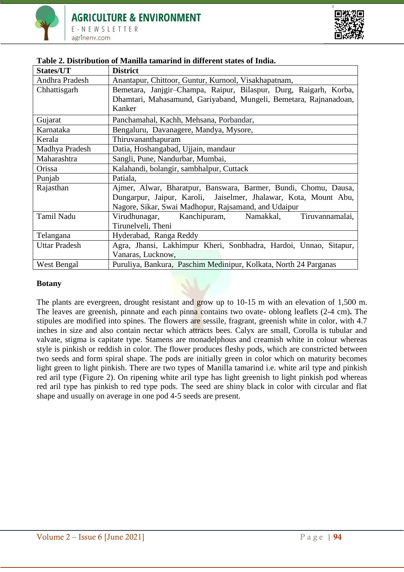

| States/UT            | <b>District</b>                                                   |
|----------------------|-------------------------------------------------------------------|
| Andhra Pradesh       | Anantapur, Chittoor, Guntur, Kurnool, Visakhapatnam,              |
| Chhattisgarh         | Bemetara, Janjgir-Champa, Raipur, Bilaspur, Durg, Raigarh, Korba, |
|                      | Dhamtari, Mahasamund, Gariyaband, Mungeli, Bemetara, Rajnanadoan, |
|                      | Kanker                                                            |
| Gujarat              | Panchamahal, Kachh, Mehsana, Porbandar,                           |
| Karnataka            | Bengaluru, Davanagere, Mandya, Mysore,                            |
| Kerala               | Thiruvananthapuram                                                |
| Madhya Pradesh       | Datia, Hoshangabad, Ujjain, mandaur                               |
| Maharashtra          | Sangli, Pune, Nandurbar, Mumbai,                                  |
| Orissa               | Kalahandi, bolangir, sambhalpur, Cuttack                          |
| Punjab               | Patiala,                                                          |
| Rajasthan            | Ajmer, Alwar, Bharatpur, Banswara, Barmer, Bundi, Chomu, Dausa,   |
|                      | Dungarpur, Jaipur, Karoli, Jaiselmer, Jhalawar, Kota, Mount Abu,  |
|                      | Nagore, Sikar, Swai Madhopur, Rajsamand, and Udaipur              |
| <b>Tamil Nadu</b>    | Virudhunagar, Kanchipuram, Namakkal,<br>Tiruvannamalai,           |
|                      | Tirunelveli, Theni                                                |
| Telangana            | Hyderabad, Ranga Reddy                                            |
| <b>Uttar Pradesh</b> | Agra, Jhansi, Lakhimpur Kheri, Sonbhadra, Hardoi, Unnao, Sitapur, |
|                      | Vanaras, Lucknow,                                                 |
| West Bengal          | Puruliya, Bankura, Paschim Medinipur, Kolkata, North 24 Parganas  |

## **Table 2. Distribution of Manilla tamarind in different states of India.**

#### **Botany**

The plants are evergreen, drought resistant and grow up to 10-15 m with an elevation of 1,500 m. The leaves are greenish, pinnate and each pinna contains two ovate- oblong leaflets (2-4 cm)**.** The stipules are modified into spines. The flowers are sessile, fragrant, greenish white in color, with 4.7 inches in size and also contain nectar which attracts bees. Calyx are small, Corolla is tubular and valvate, stigma is capitate type. Stamens are monadelphous and creamish white in colour whereas style is pinkish or reddish in color. The flower produces fleshy pods, which are constricted between two seeds and form spiral shape. The pods are initially green in color which on maturity becomes light green to light pinkish. There are two types of Manilla tamarind i.e. white aril type and pinkish red aril type (Figure 2). On ripening white aril type has light greenish to light pinkish pod whereas red aril type has pinkish to red type pods. The seed are shiny black in color with circular and flat shape and usually on average in one pod 4-5 seeds are present.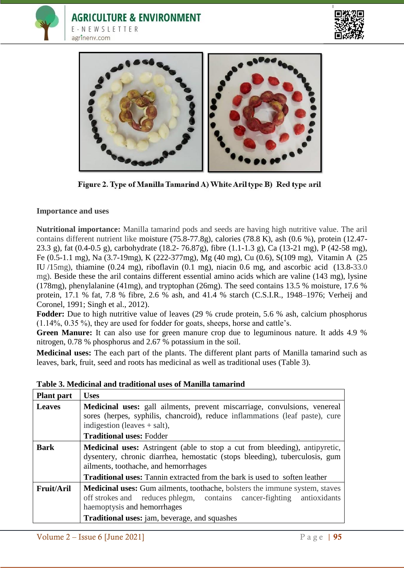





Figure 2. Type of Manilla Tamarind A) White Aril type B) Red type aril

## **Importance and uses**

**Nutritional importance:** Manilla tamarind pods and seeds are having high nutritive value. The aril contains different nutrient like moisture (75.8-77.8g), calories (78.8 K), ash (0.6 %), protein (12.47- 23.3 g), fat (0.4-0.5 g), carbohydrate (18.2- 76.87g), fibre (1.1-1.3 g), Ca (13-21 mg), P (42-58 mg), Fe (0.5-1.1 mg), Na (3.7-19mg), K (222-377mg), Mg (40 mg), Cu (0.6), S(109 mg), Vitamin A (25 IU /15mg), thiamine (0.24 mg), riboflavin (0.1 mg), niacin 0.6 mg, and ascorbic acid (13.8-33.0 mg). Beside these the aril contains different essential amino acids which are valine (143 mg), lysine (178mg), phenylalanine (41mg), and tryptophan (26mg). The seed contains 13.5 % moisture, 17.6 % protein, 17.1 % fat, 7.8 % fibre, 2.6 % ash, and 41.4 % starch (C.S.I.R., 1948–1976; Verheij and Coronel, 1991; Singh et al., 2012).

**Fodder:** Due to high nutritive value of leaves (29 % crude protein, 5.6 % ash, calcium phosphorus (1.14%, 0.35 %), they are used for fodder for goats, sheeps, horse and cattle's.

Green Manure: It can also use for green manure crop due to leguminous nature. It adds 4.9 % nitrogen, 0.78 % phosphorus and 2.67 % potassium in the soil.

**Medicinal uses:** The each part of the plants. The different plant parts of Manilla tamarind such as leaves, bark, fruit, seed and roots has medicinal as well as traditional uses (Table 3).

| <b>Plant</b> part | <b>Uses</b>                                                                                                                                                                                                                                                                                    |  |
|-------------------|------------------------------------------------------------------------------------------------------------------------------------------------------------------------------------------------------------------------------------------------------------------------------------------------|--|
| <b>Leaves</b>     | Medicinal uses: gall ailments, prevent miscarriage, convulsions, venereal<br>sores (herpes, syphilis, chancroid), reduce inflammations (leaf paste), cure<br>indigestion (leaves $+$ salt),<br><b>Traditional uses: Fodder</b>                                                                 |  |
| <b>Bark</b>       | <b>Medicinal uses:</b> Astringent (able to stop a cut from bleeding), antipyretic,<br>dysentery, chronic diarrhea, hemostatic (stops bleeding), tuberculosis, gum<br>ailments, toothache, and hemorrhages<br><b>Traditional uses:</b> Tannin extracted from the bark is used to soften leather |  |
| <b>Fruit/Aril</b> | <b>Medicinal uses:</b> Gum ailments, toothache, bolsters the immune system, staves<br>off strokes and reduces phlegm, contains cancer-fighting antioxidants<br>haemoptysis and hemorrhages<br><b>Traditional uses:</b> jam, beverage, and squashes                                             |  |

**Table 3. Medicinal and traditional uses of Manilla tamarind**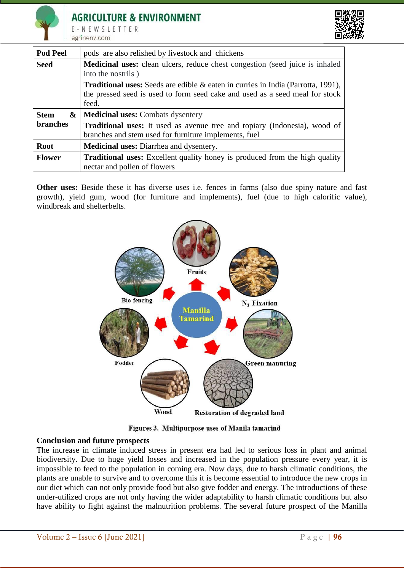



| <b>Pod Peel</b> | pods are also relished by livestock and chickens                                                          |  |
|-----------------|-----------------------------------------------------------------------------------------------------------|--|
| <b>Seed</b>     | <b>Medicinal uses:</b> clean ulcers, reduce chest congestion (seed juice is inhaled<br>into the nostrils) |  |
|                 | <b>Traditional uses:</b> Seeds are edible $\&$ eaten in curries in India (Parrotta, 1991),                |  |
|                 | the pressed seed is used to form seed cake and used as a seed meal for stock                              |  |
|                 | feed.                                                                                                     |  |
| <b>Stem</b>     | &   Medicinal uses: Combats dysentery                                                                     |  |
|                 |                                                                                                           |  |
| <b>branches</b> | <b>Traditional uses:</b> It used as avenue tree and topiary (Indonesia), wood of                          |  |
|                 | branches and stem used for furniture implements, fuel                                                     |  |
| <b>Root</b>     | <b>Medicinal uses:</b> Diarrhea and dysentery.                                                            |  |

**Other uses:** Beside these it has diverse uses i.e. fences in farms (also due spiny nature and fast growth), yield gum, wood (for furniture and implements), fuel (due to high calorific value), windbreak and shelterbelts.



Figures 3. Multipurpose uses of Manila tamarind

#### **Conclusion and future prospects**

The increase in climate induced stress in present era had led to serious loss in plant and animal biodiversity. Due to huge yield losses and increased in the population pressure every year, it is impossible to feed to the population in coming era. Now days, due to harsh climatic conditions, the plants are unable to survive and to overcome this it is become essential to introduce the new crops in our diet which can not only provide food but also give fodder and energy. The introductions of these under-utilized crops are not only having the wider adaptability to harsh climatic conditions but also have ability to fight against the malnutrition problems. The several future prospect of the Manilla